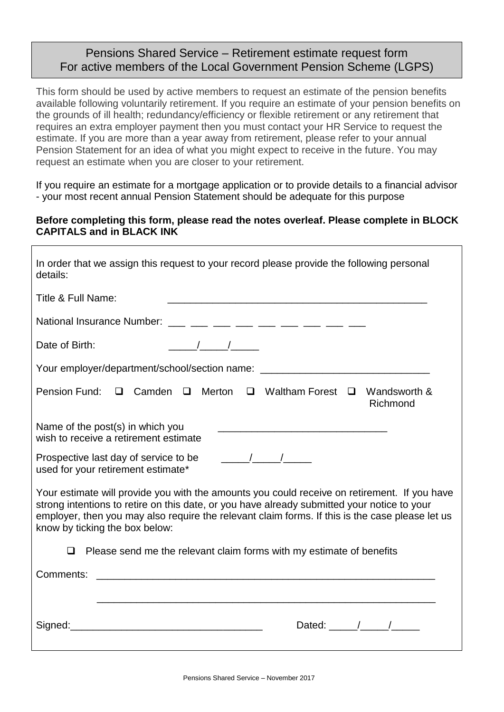## Pensions Shared Service – Retirement estimate request form For active members of the Local Government Pension Scheme (LGPS)

This form should be used by active members to request an estimate of the pension benefits available following voluntarily retirement. If you require an estimate of your pension benefits on the grounds of ill health; redundancy/efficiency or flexible retirement or any retirement that requires an extra employer payment then you must contact your HR Service to request the estimate. If you are more than a year away from retirement, please refer to your annual Pension Statement for an idea of what you might expect to receive in the future. You may request an estimate when you are closer to your retirement.

If you require an estimate for a mortgage application or to provide details to a financial advisor - your most recent annual Pension Statement should be adequate for this purpose

#### **Before completing this form, please read the notes overleaf. Please complete in BLOCK CAPITALS and in BLACK INK**

| In order that we assign this request to your record please provide the following personal<br>details:                                                                                                                                                                                                                                                                                                                    |
|--------------------------------------------------------------------------------------------------------------------------------------------------------------------------------------------------------------------------------------------------------------------------------------------------------------------------------------------------------------------------------------------------------------------------|
| Title & Full Name:                                                                                                                                                                                                                                                                                                                                                                                                       |
|                                                                                                                                                                                                                                                                                                                                                                                                                          |
| $\frac{1}{2}$ $\frac{1}{2}$ $\frac{1}{2}$ $\frac{1}{2}$ $\frac{1}{2}$ $\frac{1}{2}$ $\frac{1}{2}$ $\frac{1}{2}$ $\frac{1}{2}$ $\frac{1}{2}$ $\frac{1}{2}$ $\frac{1}{2}$ $\frac{1}{2}$ $\frac{1}{2}$ $\frac{1}{2}$ $\frac{1}{2}$ $\frac{1}{2}$ $\frac{1}{2}$ $\frac{1}{2}$ $\frac{1}{2}$ $\frac{1}{2}$ $\frac{1}{2}$<br>Date of Birth:                                                                                    |
| Your employer/department/school/section name: __________________________________                                                                                                                                                                                                                                                                                                                                         |
| Pension Fund: □ Camden □ Merton □ Waltham Forest □ Wandsworth &<br>Richmond                                                                                                                                                                                                                                                                                                                                              |
| Name of the post(s) in which you<br>wish to receive a retirement estimate                                                                                                                                                                                                                                                                                                                                                |
| used for your retirement estimate*                                                                                                                                                                                                                                                                                                                                                                                       |
| Your estimate will provide you with the amounts you could receive on retirement. If you have<br>strong intentions to retire on this date, or you have already submitted your notice to your<br>employer, then you may also require the relevant claim forms. If this is the case please let us<br>know by ticking the box below:                                                                                         |
| Please send me the relevant claim forms with my estimate of benefits<br>❏                                                                                                                                                                                                                                                                                                                                                |
| Comments:<br><u> 1980 - Johann Stoff, deutscher Stoffen und der Stoffen und der Stoffen und der Stoffen und der Stoffen und der</u>                                                                                                                                                                                                                                                                                      |
| Dated: $\frac{1}{\sqrt{1-\frac{1}{2}}}\frac{1}{\sqrt{1-\frac{1}{2}}}\frac{1}{\sqrt{1-\frac{1}{2}}}\frac{1}{\sqrt{1-\frac{1}{2}}}\frac{1}{\sqrt{1-\frac{1}{2}}}\frac{1}{\sqrt{1-\frac{1}{2}}}\frac{1}{\sqrt{1-\frac{1}{2}}}\frac{1}{\sqrt{1-\frac{1}{2}}}\frac{1}{\sqrt{1-\frac{1}{2}}}\frac{1}{\sqrt{1-\frac{1}{2}}}\frac{1}{\sqrt{1-\frac{1}{2}}}\frac{1}{\sqrt{1-\frac{1}{2}}}\frac{1}{\sqrt{1-\frac{1}{2}}}\frac{1}{$ |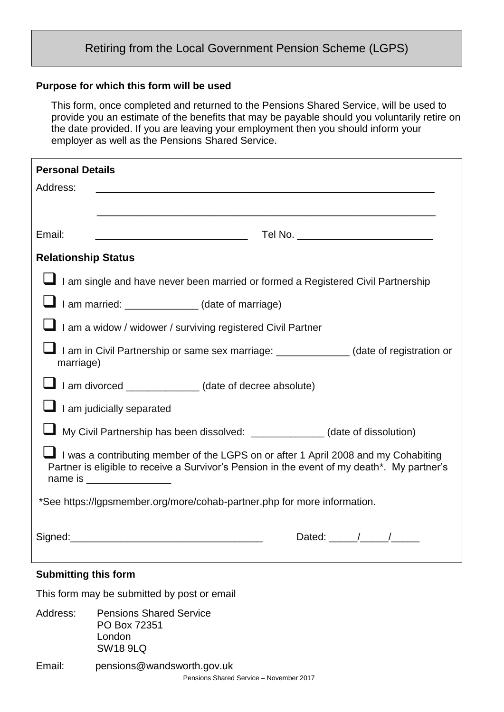# Retiring from the Local Government Pension Scheme (LGPS)

#### **Purpose for which this form will be used**

This form, once completed and returned to the Pensions Shared Service, will be used to provide you an estimate of the benefits that may be payable should you voluntarily retire on the date provided. If you are leaving your employment then you should inform your employer as well as the Pensions Shared Service.

| <b>Personal Details</b>                                                                                                                                                                                              |
|----------------------------------------------------------------------------------------------------------------------------------------------------------------------------------------------------------------------|
| Address:                                                                                                                                                                                                             |
|                                                                                                                                                                                                                      |
| Email:                                                                                                                                                                                                               |
| <b>Relationship Status</b>                                                                                                                                                                                           |
| I am single and have never been married or formed a Registered Civil Partnership                                                                                                                                     |
| I am married: _____________(date of marriage)                                                                                                                                                                        |
| I am a widow / widower / surviving registered Civil Partner                                                                                                                                                          |
| I am in Civil Partnership or same sex marriage: _____________(date of registration or<br>marriage)                                                                                                                   |
| I am divorced _____________(date of decree absolute)                                                                                                                                                                 |
| $\Box$ I am judicially separated                                                                                                                                                                                     |
| My Civil Partnership has been dissolved: _______________(date of dissolution)                                                                                                                                        |
| I I was a contributing member of the LGPS on or after 1 April 2008 and my Cohabiting<br>Partner is eligible to receive a Survivor's Pension in the event of my death*. My partner's<br>name is _____________________ |
| *See https://lgpsmember.org/more/cohab-partner.php for more information.                                                                                                                                             |
| Dated: $\frac{1}{\sqrt{1-\frac{1}{2}}}\frac{1}{\sqrt{1-\frac{1}{2}}}}$                                                                                                                                               |
| <b>Submitting this form</b>                                                                                                                                                                                          |
| This form may be submitted by post or email                                                                                                                                                                          |

Address: Pensions Shared Service PO Box 72351 London SW18 9LQ Email: pensions@wandsworth.gov.uk

Pensions Shared Service – November 2017